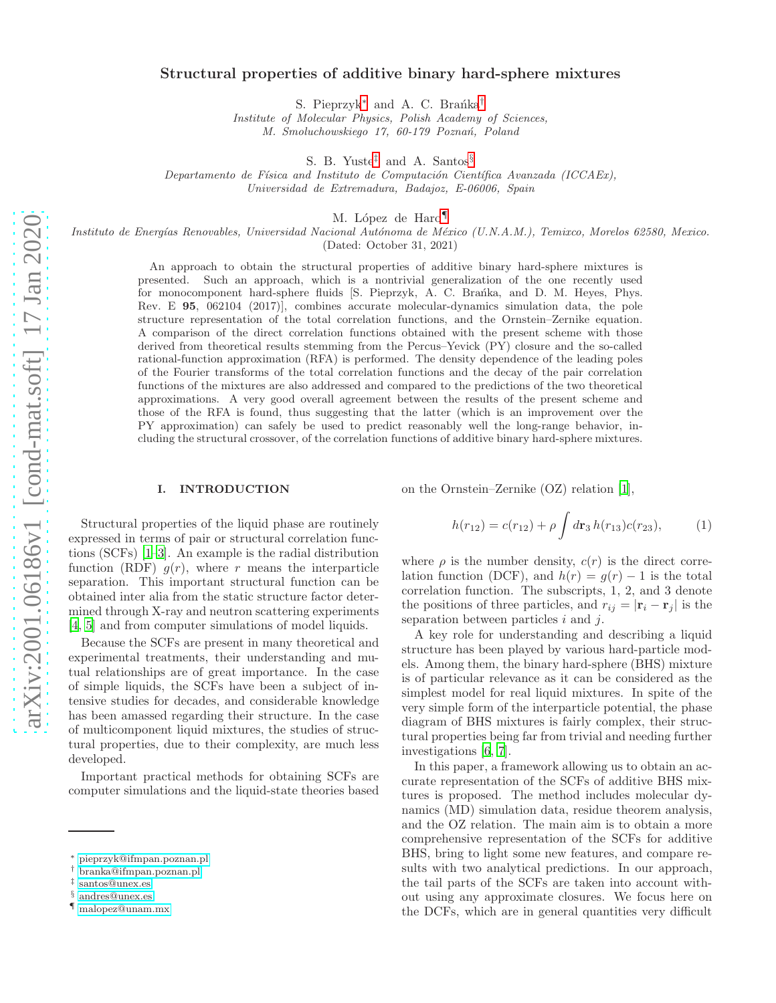## Structural properties of additive binary hard-sphere mixtures

S. Pieprzyk<sup>\*</sup> and A. C. Brańka<sup>[†](#page-0-1)</sup>

*Institute of Molecular Physics, Polish Academy of Sciences, M. Smoluchowskiego 17, 60-179 Pozna´n, Poland*

S. B. Yuste[‡](#page-0-2) and A. Santos[§](#page-0-3)

*Departamento de Física and Instituto de Computación Científica Avanzada (ICCAEx)*, *Universidad de Extremadura, Badajoz, E-06006, Spain*

M. López de Haro<sup>[¶](#page-0-4)</sup>

*Instituto de Energ´ıas Renovables, Universidad Nacional Aut´onoma de M´exico (U.N.A.M.), Temixco, Morelos 62580, Mexico.* (Dated: October 31, 2021)

> An approach to obtain the structural properties of additive binary hard-sphere mixtures is presented. Such an approach, which is a nontrivial generalization of the one recently used for monocomponent hard-sphere fluids [S. Pieprzyk, A. C. Braníka, and D. M. Heyes, Phys. Rev. E 95, 062104 (2017)], combines accurate molecular-dynamics simulation data, the pole structure representation of the total correlation functions, and the Ornstein–Zernike equation. A comparison of the direct correlation functions obtained with the present scheme with those derived from theoretical results stemming from the Percus–Yevick (PY) closure and the so-called rational-function approximation (RFA) is performed. The density dependence of the leading poles of the Fourier transforms of the total correlation functions and the decay of the pair correlation functions of the mixtures are also addressed and compared to the predictions of the two theoretical approximations. A very good overall agreement between the results of the present scheme and those of the RFA is found, thus suggesting that the latter (which is an improvement over the PY approximation) can safely be used to predict reasonably well the long-range behavior, including the structural crossover, of the correlation functions of additive binary hard-sphere mixtures.

#### I. INTRODUCTION

on the Ornstein–Zernike (OZ) relation [\[1](#page-10-0)],

Structural properties of the liquid phase are routinely expressed in terms of pair or structural correlation functions (SCFs) [\[1](#page-10-0)[–3\]](#page-10-1). An example is the radial distribution function (RDF)  $q(r)$ , where r means the interparticle separation. This important structural function can be obtained inter alia from the static structure factor determined through X-ray and neutron scattering experiments [\[4,](#page-10-2) [5\]](#page-10-3) and from computer simulations of model liquids.

Because the SCFs are present in many theoretical and experimental treatments, their understanding and mutual relationships are of great importance. In the case of simple liquids, the SCFs have been a subject of intensive studies for decades, and considerable knowledge has been amassed regarding their structure. In the case of multicomponent liquid mixtures, the studies of structural properties, due to their complexity, are much less developed.

Important practical methods for obtaining SCFs are computer simulations and the liquid-state theories based

<span id="page-0-5"></span>
$$
h(r_{12}) = c(r_{12}) + \rho \int d\mathbf{r}_3 \, h(r_{13}) c(r_{23}), \tag{1}
$$

where  $\rho$  is the number density,  $c(r)$  is the direct correlation function (DCF), and  $h(r) = g(r) - 1$  is the total correlation function. The subscripts, 1, 2, and 3 denote the positions of three particles, and  $r_{ij} = |\mathbf{r}_i - \mathbf{r}_j|$  is the separation between particles  $i$  and  $j$ .

A key role for understanding and describing a liquid structure has been played by various hard-particle models. Among them, the binary hard-sphere (BHS) mixture is of particular relevance as it can be considered as the simplest model for real liquid mixtures. In spite of the very simple form of the interparticle potential, the phase diagram of BHS mixtures is fairly complex, their structural properties being far from trivial and needing further investigations [\[6](#page-10-4), [7](#page-10-5)].

In this paper, a framework allowing us to obtain an accurate representation of the SCFs of additive BHS mixtures is proposed. The method includes molecular dynamics (MD) simulation data, residue theorem analysis, and the OZ relation. The main aim is to obtain a more comprehensive representation of the SCFs for additive BHS, bring to light some new features, and compare results with two analytical predictions. In our approach, the tail parts of the SCFs are taken into account without using any approximate closures. We focus here on the DCFs, which are in general quantities very difficult

<span id="page-0-0"></span><sup>∗</sup> [pieprzyk@ifmpan.poznan.pl](mailto:pieprzyk@ifmpan.poznan.pl)

<span id="page-0-1"></span><sup>†</sup> [branka@ifmpan.poznan.pl](mailto:branka@ifmpan.poznan.pl)

<span id="page-0-2"></span><sup>‡</sup> [santos@unex.es](mailto:santos@unex.es)

<span id="page-0-3"></span><sup>§</sup> [andres@unex.es](mailto:andres@unex.es)

<span id="page-0-4"></span><sup>¶</sup> [malopez@unam.mx](mailto:malopez@unam.mx)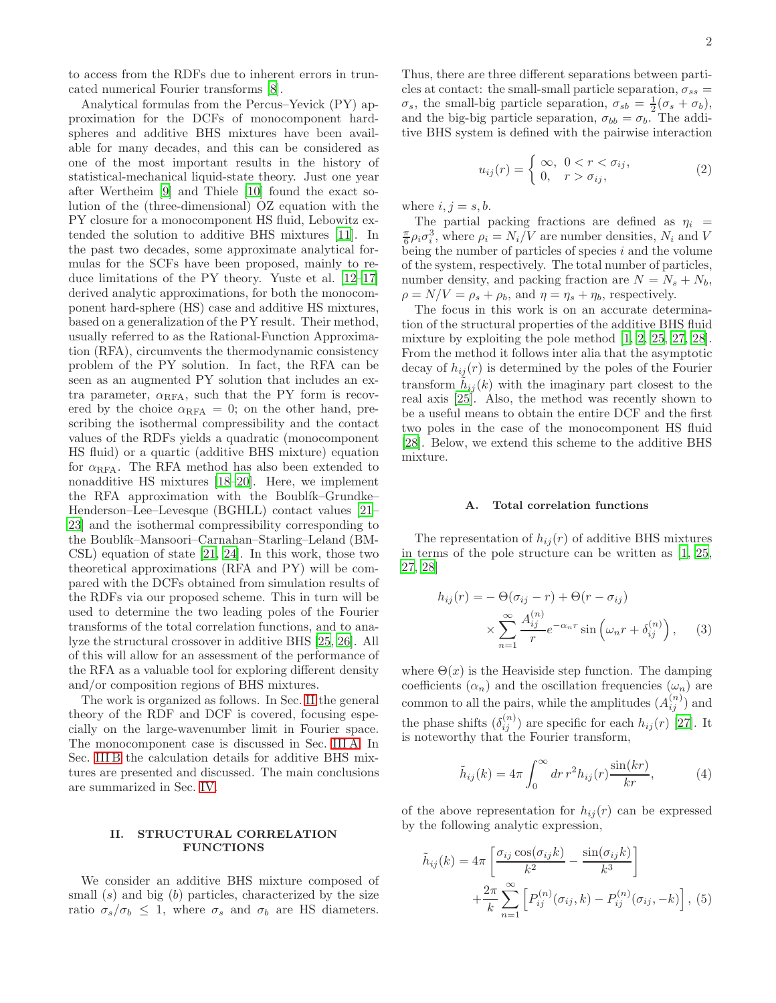to access from the RDFs due to inherent errors in truncated numerical Fourier transforms [\[8](#page-10-6)].

Analytical formulas from the Percus–Yevick (PY) approximation for the DCFs of monocomponent hardspheres and additive BHS mixtures have been available for many decades, and this can be considered as one of the most important results in the history of statistical-mechanical liquid-state theory. Just one year after Wertheim [\[9](#page-10-7)] and Thiele [\[10](#page-10-8)] found the exact solution of the (three-dimensional) OZ equation with the PY closure for a monocomponent HS fluid, Lebowitz extended the solution to additive BHS mixtures [\[11\]](#page-10-9). In the past two decades, some approximate analytical formulas for the SCFs have been proposed, mainly to reduce limitations of the PY theory. Yuste et al. [\[12](#page-10-10)[–17\]](#page-11-0) derived analytic approximations, for both the monocomponent hard-sphere (HS) case and additive HS mixtures, based on a generalization of the PY result. Their method, usually referred to as the Rational-Function Approximation (RFA), circumvents the thermodynamic consistency problem of the PY solution. In fact, the RFA can be seen as an augmented PY solution that includes an extra parameter,  $\alpha_{\textrm{RFA}}$ , such that the PY form is recovered by the choice  $\alpha_{RFA} = 0$ ; on the other hand, prescribing the isothermal compressibility and the contact values of the RDFs yields a quadratic (monocomponent HS fluid) or a quartic (additive BHS mixture) equation for  $\alpha_{RFA}$ . The RFA method has also been extended to nonadditive HS mixtures [\[18](#page-11-1)[–20\]](#page-11-2). Here, we implement the RFA approximation with the Boublik–Grundke– Henderson–Lee–Levesque (BGHLL) contact values [\[21](#page-11-3)– [23\]](#page-11-4) and the isothermal compressibility corresponding to the Boublík–Mansoori–Carnahan–Starling–Leland (BM-CSL) equation of state [\[21](#page-11-3), [24\]](#page-11-5). In this work, those two theoretical approximations (RFA and PY) will be compared with the DCFs obtained from simulation results of the RDFs via our proposed scheme. This in turn will be used to determine the two leading poles of the Fourier transforms of the total correlation functions, and to analyze the structural crossover in additive BHS [\[25,](#page-11-6) [26](#page-11-7)]. All of this will allow for an assessment of the performance of the RFA as a valuable tool for exploring different density and/or composition regions of BHS mixtures.

The work is organized as follows. In Sec. [II](#page-1-0) the general theory of the RDF and DCF is covered, focusing especially on the large-wavenumber limit in Fourier space. The monocomponent case is discussed in Sec. [III A.](#page-5-0) In Sec. [III B](#page-5-1) the calculation details for additive BHS mixtures are presented and discussed. The main conclusions are summarized in Sec. [IV.](#page-7-0)

### <span id="page-1-0"></span>II. STRUCTURAL CORRELATION FUNCTIONS

We consider an additive BHS mixture composed of small  $(s)$  and big  $(b)$  particles, characterized by the size ratio  $\sigma_s/\sigma_b \leq 1$ , where  $\sigma_s$  and  $\sigma_b$  are HS diameters.

Thus, there are three different separations between particles at contact: the small-small particle separation,  $\sigma_{ss}$  =  $\sigma_s$ , the small-big particle separation,  $\sigma_{sb} = \frac{1}{2}(\sigma_s + \sigma_b)$ , and the big-big particle separation,  $\sigma_{bb} = \sigma_b$ . The additive BHS system is defined with the pairwise interaction

$$
u_{ij}(r) = \begin{cases} \infty, & 0 < r < \sigma_{ij}, \\ 0, & r > \sigma_{ij}, \end{cases}
$$
 (2)

where  $i, j = s, b$ .

The partial packing fractions are defined as  $\eta_i$  =  $\frac{\pi}{6}\rho_i \sigma_i^3$ , where  $\rho_i = N_i/V$  are number densities,  $N_i$  and V being the number of particles of species  $i$  and the volume of the system, respectively. The total number of particles, number density, and packing fraction are  $N = N_s + N_b$ ,  $\rho = N/V = \rho_s + \rho_b$ , and  $\eta = \eta_s + \eta_b$ , respectively.

The focus in this work is on an accurate determination of the structural properties of the additive BHS fluid mixture by exploiting the pole method [\[1](#page-10-0), [2](#page-10-11), [25,](#page-11-6) [27,](#page-11-8) [28\]](#page-11-9). From the method it follows inter alia that the asymptotic decay of  $h_{ij}(r)$  is determined by the poles of the Fourier transform  $\tilde{h}_{ij}(k)$  with the imaginary part closest to the real axis [\[25\]](#page-11-6). Also, the method was recently shown to be a useful means to obtain the entire DCF and the first two poles in the case of the monocomponent HS fluid [\[28\]](#page-11-9). Below, we extend this scheme to the additive BHS mixture.

#### A. Total correlation functions

The representation of  $h_{ij}(r)$  of additive BHS mixtures in terms of the pole structure can be written as [\[1,](#page-10-0) [25](#page-11-6), [27](#page-11-8), [28](#page-11-9)]

<span id="page-1-2"></span>
$$
h_{ij}(r) = -\Theta(\sigma_{ij} - r) + \Theta(r - \sigma_{ij})
$$

$$
\times \sum_{n=1}^{\infty} \frac{A_{ij}^{(n)}}{r} e^{-\alpha_n r} \sin\left(\omega_n r + \delta_{ij}^{(n)}\right), \quad (3)
$$

where  $\Theta(x)$  is the Heaviside step function. The damping coefficients  $(\alpha_n)$  and the oscillation frequencies  $(\omega_n)$  are common to all the pairs, while the amplitudes  $(A_{ij}^{(n)})$  and the phase shifts  $(\delta_{ij}^{(n)})$  are specific for each  $h_{ij}(r)$  [\[27\]](#page-11-8). It is noteworthy that the Fourier transform,

$$
\tilde{h}_{ij}(k) = 4\pi \int_0^\infty dr \, r^2 h_{ij}(r) \frac{\sin(kr)}{kr},\tag{4}
$$

of the above representation for  $h_{ij}(r)$  can be expressed by the following analytic expression,

<span id="page-1-1"></span>
$$
\tilde{h}_{ij}(k) = 4\pi \left[ \frac{\sigma_{ij} \cos(\sigma_{ij} k)}{k^2} - \frac{\sin(\sigma_{ij} k)}{k^3} \right] + \frac{2\pi}{k} \sum_{n=1}^{\infty} \left[ P_{ij}^{(n)}(\sigma_{ij}, k) - P_{ij}^{(n)}(\sigma_{ij}, -k) \right], (5)
$$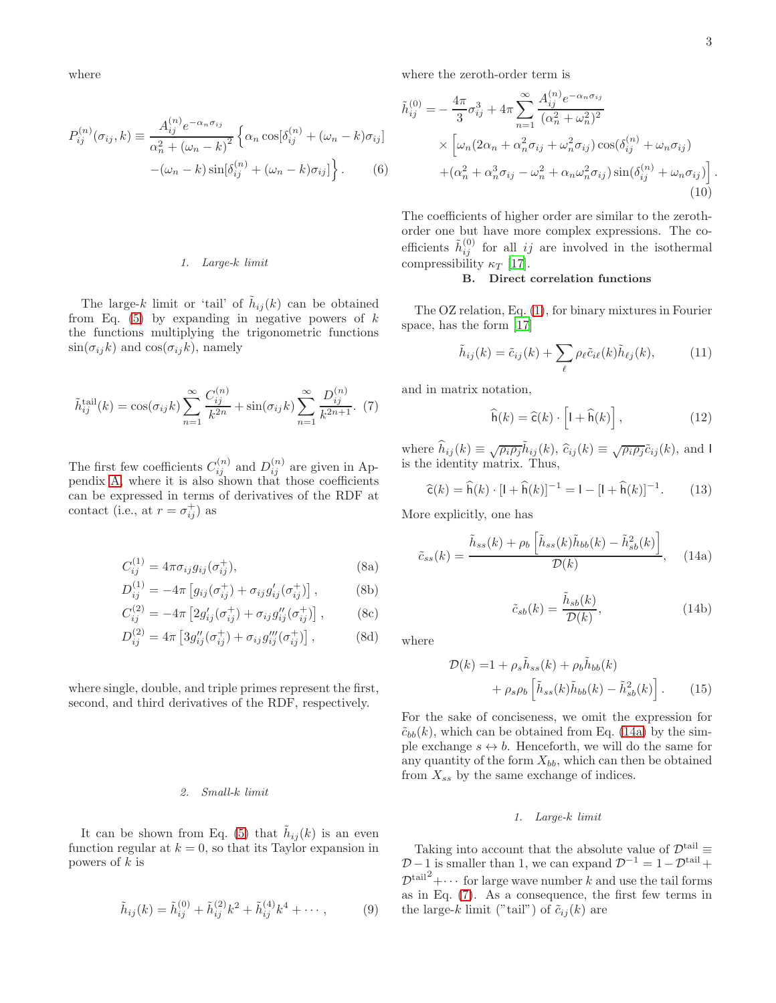where

<span id="page-2-5"></span>
$$
P_{ij}^{(n)}(\sigma_{ij},k) \equiv \frac{A_{ij}^{(n)}e^{-\alpha_n \sigma_{ij}}}{\alpha_n^2 + (\omega_n - k)^2} \left\{ \alpha_n \cos[\delta_{ij}^{(n)} + (\omega_n - k)\sigma_{ij}] - (\omega_n - k)\sin[\delta_{ij}^{(n)} + (\omega_n - k)\sigma_{ij}] \right\}.
$$
 (6)

### *1. Large-*k *limit*

The large-k limit or 'tail' of  $h_{ij}(k)$  can be obtained from Eq.  $(5)$  by expanding in negative powers of  $k$ the functions multiplying the trigonometric functions  $sin(\sigma_{ij}k)$  and  $cos(\sigma_{ij}k)$ , namely

<span id="page-2-1"></span>
$$
\tilde{h}_{ij}^{\text{tail}}(k) = \cos(\sigma_{ij}k) \sum_{n=1}^{\infty} \frac{C_{ij}^{(n)}}{k^{2n}} + \sin(\sigma_{ij}k) \sum_{n=1}^{\infty} \frac{D_{ij}^{(n)}}{k^{2n+1}}.
$$
 (7)

The first few coefficients  $C_{ij}^{(n)}$  and  $D_{ij}^{(n)}$  are given in Appendix [A,](#page-9-0) where it is also shown that those coefficients can be expressed in terms of derivatives of the RDF at contact (i.e., at  $r = \sigma_{ij}^+$ ) as

<span id="page-2-3"></span>
$$
C_{ij}^{(1)} = 4\pi\sigma_{ij}g_{ij}(\sigma_{ij}^+),\tag{8a}
$$

$$
D_{ij}^{(1)} = -4\pi \left[ g_{ij}(\sigma_{ij}^+) + \sigma_{ij} g'_{ij}(\sigma_{ij}^+) \right],
$$
 (8b)

$$
C_{ij}^{(2)} = -4\pi \left[ 2g'_{ij}(\sigma_{ij}^+) + \sigma_{ij}g''_{ij}(\sigma_{ij}^+) \right],
$$
 (8c)

$$
D_{ij}^{(2)} = 4\pi \left[ 3g_{ij}''(\sigma_{ij}^+) + \sigma_{ij}g_{ij}'''(\sigma_{ij}^+) \right],
$$
 (8d)

where single, double, and triple primes represent the first, second, and third derivatives of the RDF, respectively.

### *2. Small-*k *limit*

It can be shown from Eq. [\(5\)](#page-1-1) that  $\tilde{h}_{ij}(k)$  is an even function regular at  $k = 0$ , so that its Taylor expansion in powers of  $k$  is

$$
\tilde{h}_{ij}(k) = \tilde{h}_{ij}^{(0)} + \tilde{h}_{ij}^{(2)}k^2 + \tilde{h}_{ij}^{(4)}k^4 + \cdots, \qquad (9)
$$

where the zeroth-order term is

$$
\tilde{h}_{ij}^{(0)} = -\frac{4\pi}{3}\sigma_{ij}^3 + 4\pi \sum_{n=1}^{\infty} \frac{A_{ij}^{(n)} e^{-\alpha_n \sigma_{ij}}}{(\alpha_n^2 + \omega_n^2)^2}
$$
\n
$$
\times \left[ \omega_n (2\alpha_n + \alpha_n^2 \sigma_{ij} + \omega_n^2 \sigma_{ij}) \cos(\delta_{ij}^{(n)} + \omega_n \sigma_{ij}) + (\alpha_n^2 + \alpha_n^2 \sigma_{ij} - \omega_n^2 + \alpha_n \omega_n^2 \sigma_{ij}) \sin(\delta_{ij}^{(n)} + \omega_n \sigma_{ij}) \right].
$$
\n(10)

The coefficients of higher order are similar to the zerothorder one but have more complex expressions. The coefficients  $\tilde{h}_{ij}^{(0)}$  for all *ij* are involved in the isothermal compressibility  $\kappa_T$  [\[17](#page-11-0)].

## B. Direct correlation functions

The OZ relation, Eq. [\(1\)](#page-0-5), for binary mixtures in Fourier space, has the form [\[17\]](#page-11-0)

$$
\tilde{h}_{ij}(k) = \tilde{c}_{ij}(k) + \sum_{\ell} \rho_{\ell} \tilde{c}_{i\ell}(k) \tilde{h}_{\ell j}(k), \qquad (11)
$$

and in matrix notation,

<span id="page-2-4"></span>
$$
\widehat{\mathsf{h}}(k) = \widehat{\mathsf{c}}(k) \cdot \left[ \mathsf{I} + \widehat{\mathsf{h}}(k) \right],\tag{12}
$$

where  $\hat{h}_{ij}(k) \equiv \sqrt{\rho_i \rho_j} \tilde{h}_{ij}(k)$ ,  $\hat{c}_{ij}(k) \equiv \sqrt{\rho_i \rho_j} \tilde{c}_{ij}(k)$ , and I is the identity matrix. Thus,

$$
\widehat{\mathsf{c}}(k) = \widehat{\mathsf{h}}(k) \cdot [\mathsf{I} + \widehat{\mathsf{h}}(k)]^{-1} = \mathsf{I} - [\mathsf{I} + \widehat{\mathsf{h}}(k)]^{-1}.\tag{13}
$$

More explicitly, one has

<span id="page-2-0"></span>
$$
\tilde{c}_{ss}(k) = \frac{\tilde{h}_{ss}(k) + \rho_b \left[ \tilde{h}_{ss}(k)\tilde{h}_{bb}(k) - \tilde{h}_{sb}^2(k) \right]}{\mathcal{D}(k)}, \quad (14a)
$$

<span id="page-2-2"></span>
$$
\tilde{c}_{sb}(k) = \frac{\tilde{h}_{sb}(k)}{\mathcal{D}(k)},\tag{14b}
$$

where

$$
\mathcal{D}(k) = 1 + \rho_s \tilde{h}_{ss}(k) + \rho_b \tilde{h}_{bb}(k) + \rho_s \rho_b \left[ \tilde{h}_{ss}(k) \tilde{h}_{bb}(k) - \tilde{h}_{sb}^2(k) \right].
$$
 (15)

For the sake of conciseness, we omit the expression for  $\tilde{c}_{bb}(k)$ , which can be obtained from Eq. [\(14a\)](#page-2-0) by the simple exchange  $s \leftrightarrow b$ . Henceforth, we will do the same for any quantity of the form  $X_{bb}$ , which can then be obtained from  $X_{ss}$  by the same exchange of indices.

#### *1. Large-*k *limit*

Taking into account that the absolute value of  $\mathcal{D}^{\text{tail}} \equiv$  $D-1$  is smaller than 1, we can expand  $D^{-1} = 1-D^{\text{tail}} +$  $\mathcal{D}^{\text{tail}^2} + \cdots$  for large wave number k and use the tail forms as in Eq. [\(7\)](#page-2-1). As a consequence, the first few terms in the large-k limit ("tail") of  $\tilde{c}_{ij}(k)$  are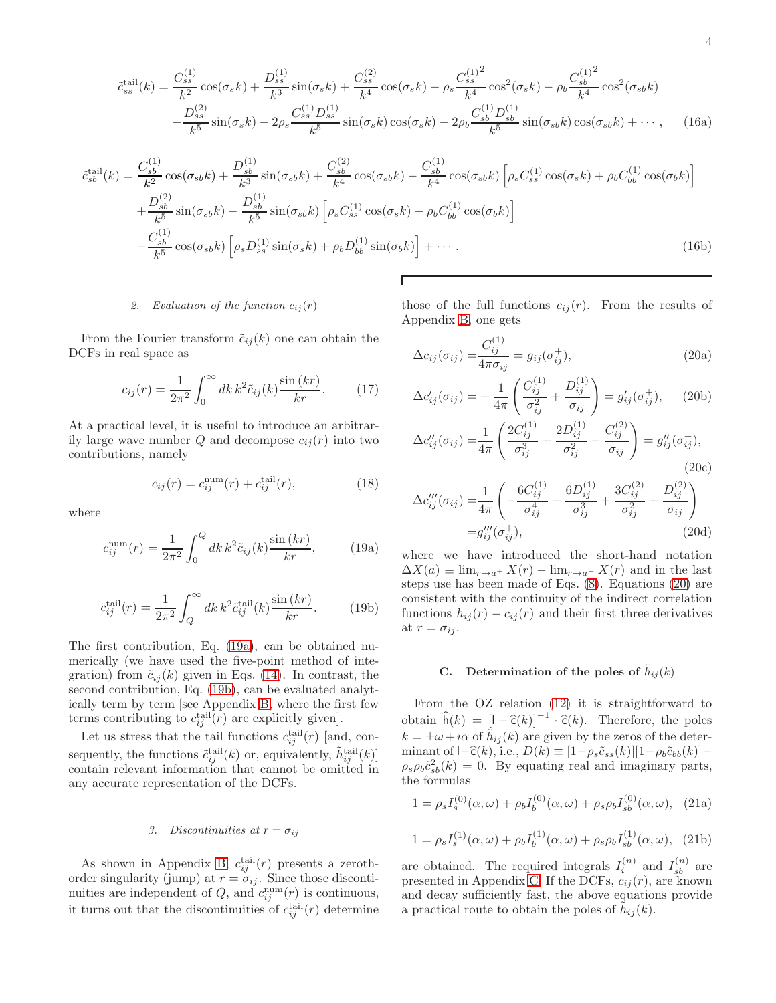<span id="page-3-4"></span>
$$
\tilde{c}_{ss}^{\text{tail}}(k) = \frac{C_{ss}^{(1)}}{k^2} \cos(\sigma_s k) + \frac{D_{ss}^{(1)}}{k^3} \sin(\sigma_s k) + \frac{C_{ss}^{(2)}}{k^4} \cos(\sigma_s k) - \rho_s \frac{C_{ss}^{(1)^2}}{k^4} \cos^2(\sigma_s k) - \rho_b \frac{C_{sb}^{(1)^2}}{k^4} \cos^2(\sigma_s k)
$$

$$
+ \frac{D_{ss}^{(2)}}{k^5} \sin(\sigma_s k) - 2\rho_s \frac{C_{ss}^{(1)} D_{ss}^{(1)}}{k^5} \sin(\sigma_s k) \cos(\sigma_s k) - 2\rho_b \frac{C_{sb}^{(1)} D_{sb}^{(1)}}{k^5} \sin(\sigma_{sb} k) \cos(\sigma_{sb} k) + \cdots, \quad (16a)
$$

$$
\tilde{c}_{sb}^{\text{tail}}(k) = \frac{C_{sb}^{(1)}}{k^2} \cos(\sigma_{sb}k) + \frac{D_{sb}^{(1)}}{k^3} \sin(\sigma_{sb}k) + \frac{C_{sb}^{(2)}}{k^4} \cos(\sigma_{sb}k) - \frac{C_{sb}^{(1)}}{k^4} \cos(\sigma_{sb}k) \left[ \rho_s C_{ss}^{(1)} \cos(\sigma_s k) + \rho_b C_{bb}^{(1)} \cos(\sigma_b k) \right]
$$

$$
+ \frac{D_{sb}^{(2)}}{k^5} \sin(\sigma_{sb}k) - \frac{D_{sb}^{(1)}}{k^5} \sin(\sigma_{sb}k) \left[ \rho_s C_{ss}^{(1)} \cos(\sigma_s k) + \rho_b C_{bb}^{(1)} \cos(\sigma_b k) \right]
$$

$$
- \frac{C_{sb}^{(1)}}{k^5} \cos(\sigma_{sb}k) \left[ \rho_s D_{ss}^{(1)} \sin(\sigma_s k) + \rho_b D_{bb}^{(1)} \sin(\sigma_b k) \right] + \cdots. \tag{16b}
$$

## 2. Evaluation of the function  $c_{ij}(r)$

From the Fourier transform  $\tilde{c}_{ij}(k)$  one can obtain the DCFs in real space as

$$
c_{ij}(r) = \frac{1}{2\pi^2} \int_0^\infty dk \, k^2 \tilde{c}_{ij}(k) \frac{\sin(kr)}{kr}.
$$
 (17)

At a practical level, it is useful to introduce an arbitrarily large wave number  $Q$  and decompose  $c_{ij}(r)$  into two contributions, namely

$$
c_{ij}(r) = c_{ij}^{\text{num}}(r) + c_{ij}^{\text{tail}}(r),
$$
\n(18)

where

<span id="page-3-0"></span>
$$
c_{ij}^{\text{num}}(r) = \frac{1}{2\pi^2} \int_0^Q dk \, k^2 \tilde{c}_{ij}(k) \frac{\sin(kr)}{kr}, \quad (19a)
$$

<span id="page-3-1"></span>
$$
c_{ij}^{\text{tail}}(r) = \frac{1}{2\pi^2} \int_Q^{\infty} dk \, k^2 \tilde{c}_{ij}^{\text{tail}}(k) \frac{\sin(kr)}{kr}.
$$
 (19b)

The first contribution, Eq. [\(19a\)](#page-3-0), can be obtained numerically (we have used the five-point method of integration) from  $\tilde{c}_{ij}(k)$  given in Eqs. [\(14\)](#page-2-2). In contrast, the second contribution, Eq. [\(19b\)](#page-3-1), can be evaluated analytically term by term [see Appendix [B,](#page-9-1) where the first few terms contributing to  $c_{ij}^{\text{tail}}(r)$  are explicitly given].

Let us stress that the tail functions  $c_{ij}^{\text{tail}}(r)$  [and, consequently, the functions  $\tilde{c}_{ij}^{\text{tail}}(k)$  or, equivalently,  $\tilde{h}_{ij}^{\text{tail}}(k)$ contain relevant information that cannot be omitted in any accurate representation of the DCFs.

#### *3. Discontinuities at*  $r = \sigma_{ij}$

As shown in Appendix [B,](#page-9-1)  $c_{ij}^{\text{tail}}(r)$  presents a zerothorder singularity (jump) at  $r = \sigma_{ij}$ . Since those discontinuities are independent of  $Q$ , and  $c_{ij}^{\text{num}}(r)$  is continuous, it turns out that the discontinuities of  $c_{ij}^{\text{tail}}(r)$  determine those of the full functions  $c_{ij}(r)$ . From the results of Appendix [B,](#page-9-1) one gets

<span id="page-3-2"></span>
$$
\Delta c_{ij}(\sigma_{ij}) = \frac{C_{ij}^{(1)}}{4\pi\sigma_{ij}} = g_{ij}(\sigma_{ij}^+),
$$
\n(20a)

$$
\Delta c'_{ij}(\sigma_{ij}) = -\frac{1}{4\pi} \left( \frac{C_{ij}^{(1)}}{\sigma_{ij}^2} + \frac{D_{ij}^{(1)}}{\sigma_{ij}} \right) = g'_{ij}(\sigma_{ij}^+), \quad (20b)
$$

$$
\Delta c_{ij}^{"}(\sigma_{ij}) = \frac{1}{4\pi} \left( \frac{2C_{ij}^{(1)}}{\sigma_{ij}^3} + \frac{2D_{ij}^{(1)}}{\sigma_{ij}^2} - \frac{C_{ij}^{(2)}}{\sigma_{ij}} \right) = g_{ij}^{"}(\sigma_{ij}^{+}),
$$
\n(20c)

$$
\Delta c_{ij}'''(\sigma_{ij}) = \frac{1}{4\pi} \left( -\frac{6C_{ij}^{(1)}}{\sigma_{ij}^4} - \frac{6D_{ij}^{(1)}}{\sigma_{ij}^3} + \frac{3C_{ij}^{(2)}}{\sigma_{ij}^2} + \frac{D_{ij}^{(2)}}{\sigma_{ij}} \right)
$$

$$
= g_{ij}'''(\sigma_{ij}^+), \tag{20d}
$$

where we have introduced the short-hand notation  $\Delta X(a) \equiv \lim_{r \to a^+} X(r) - \lim_{r \to a^-} X(r)$  and in the last steps use has been made of Eqs. [\(8\)](#page-2-3). Equations [\(20\)](#page-3-2) are consistent with the continuity of the indirect correlation functions  $h_{ij}(r) - c_{ij}(r)$  and their first three derivatives at  $r = \sigma_{ij}$ .

#### C. Determination of the poles of  $\tilde{h}_{ij}(k)$

From the OZ relation [\(12\)](#page-2-4) it is straightforward to obtain  $\widehat{h}(k) = [1 - \widehat{c}(k)]^{-1} \cdot \widehat{c}(k)$ . Therefore, the poles  $k = \pm \omega + i \alpha$  of  $\tilde{h}_{ij}(k)$  are given by the zeros of the determinant of  $I-\hat{\mathsf{c}}(k)$ , i.e.,  $D(k) \equiv [1-\rho_s\tilde{c}_{ss}(k)][1-\rho_b\tilde{c}_{bb}(k)] \rho_s \rho_b \tilde{c}_{sb}^2(k) = 0$ . By equating real and imaginary parts, the formulas

<span id="page-3-3"></span>
$$
1 = \rho_s I_s^{(0)}(\alpha, \omega) + \rho_b I_b^{(0)}(\alpha, \omega) + \rho_s \rho_b I_{sb}^{(0)}(\alpha, \omega), \quad (21a)
$$

$$
1 = \rho_s I_s^{(1)}(\alpha, \omega) + \rho_b I_b^{(1)}(\alpha, \omega) + \rho_s \rho_b I_{sb}^{(1)}(\alpha, \omega), \quad (21b)
$$

are obtained. The required integrals  $I_i^{(n)}$  and  $I_{sb}^{(n)}$  are presented in Appendix [C.](#page-10-12) If the DCFs,  $c_{ij}(r)$ , are known and decay sufficiently fast, the above equations provide a practical route to obtain the poles of  $\tilde{h}_{ij}(k)$ .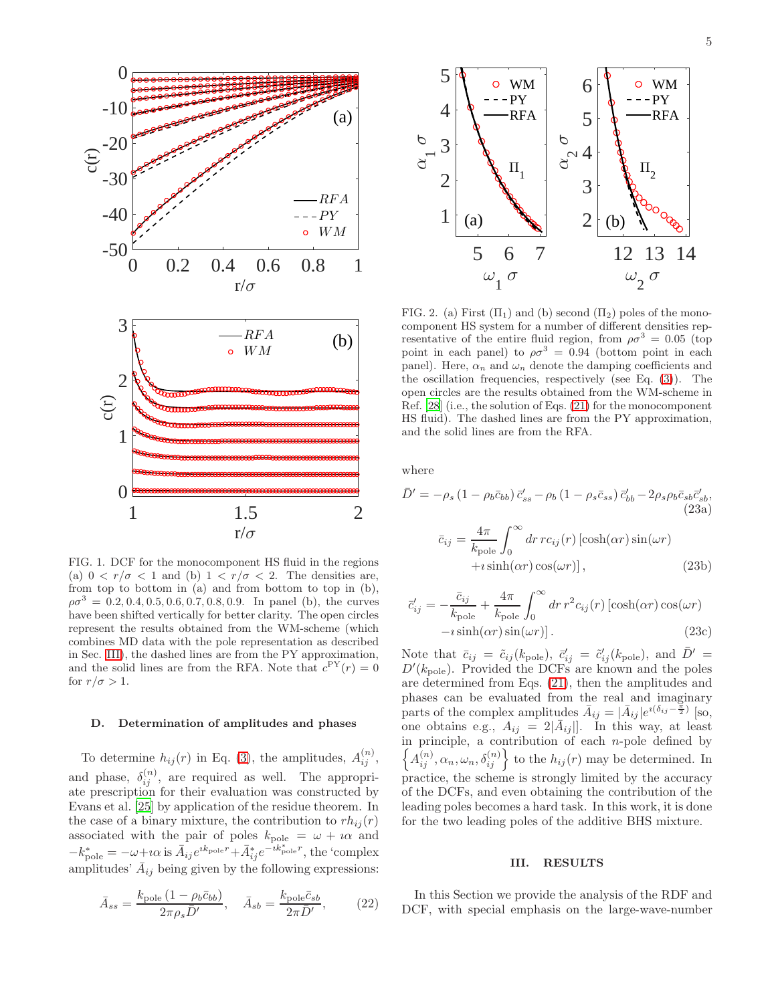



<span id="page-4-1"></span>FIG. 1. DCF for the monocomponent HS fluid in the regions (a)  $0 < r/\sigma < 1$  and (b)  $1 < r/\sigma < 2$ . The densities are, from top to bottom in (a) and from bottom to top in (b),  $\rho\sigma^3 = 0.2, 0.4, 0.5, 0.6, 0.7, 0.8, 0.9$ . In panel (b), the curves have been shifted vertically for better clarity. The open circles represent the results obtained from the WM-scheme (which combines MD data with the pole representation as described in Sec. [III\)](#page-4-0), the dashed lines are from the PY approximation, and the solid lines are from the RFA. Note that  $c^{\text{PY}}(r) = 0$ for  $r/\sigma > 1$ .

#### <span id="page-4-3"></span>D. Determination of amplitudes and phases

To determine  $h_{ij}(r)$  in Eq. [\(3\)](#page-1-2), the amplitudes,  $A_{ij}^{(n)}$ , and phase,  $\delta_{ij}^{(n)}$ , are required as well. The appropriate prescription for their evaluation was constructed by Evans et al. [\[25\]](#page-11-6) by application of the residue theorem. In the case of a binary mixture, the contribution to  $rh_{ii}(r)$ associated with the pair of poles  $k_{\text{pole}} = \omega + i\alpha$  and  $-k_{\text{pole}}^* = -\omega + i\alpha \text{ is } \bar{A}_{ij}e^{ik_{\text{pole}}r} + \bar{A}_{ij}^*e^{-ik_{\text{pole}}^*r},$  the 'complex amplitudes'  $\bar{A}_{ij}$  being given by the following expressions:

$$
\bar{A}_{ss} = \frac{k_{\text{pole}} \left(1 - \rho_b \bar{c}_{bb}\right)}{2\pi \rho_s \bar{D}'}, \quad \bar{A}_{sb} = \frac{k_{\text{pole}} \bar{c}_{sb}}{2\pi \bar{D}'},\tag{22}
$$



<span id="page-4-2"></span>FIG. 2. (a) First  $(\Pi_1)$  and (b) second  $(\Pi_2)$  poles of the monocomponent HS system for a number of different densities representative of the entire fluid region, from  $\rho \sigma^3 = 0.05$  (top point in each panel) to  $\rho \sigma^3 = 0.94$  (bottom point in each panel). Here,  $\alpha_n$  and  $\omega_n$  denote the damping coefficients and the oscillation frequencies, respectively (see Eq. [\(3\)](#page-1-2)). The open circles are the results obtained from the WM-scheme in Ref. [\[28](#page-11-9)] (i.e., the solution of Eqs. [\(21\)](#page-3-3) for the monocomponent HS fluid). The dashed lines are from the PY approximation, and the solid lines are from the RFA.

where

$$
\bar{D}' = -\rho_s \left(1 - \rho_b \bar{c}_{bb}\right) \bar{c}'_{ss} - \rho_b \left(1 - \rho_s \bar{c}_{ss}\right) \bar{c}'_{bb} - 2\rho_s \rho_b \bar{c}_{sb} \bar{c}'_{sb},
$$
\n(23a)\n
$$
\bar{c}_{ij} = \frac{4\pi}{k_{pole}} \int_0^\infty dr \, r c_{ij}(r) \left[\cosh(\alpha r) \sin(\omega r) + i \sinh(\alpha r) \cos(\omega r)\right],
$$
\n(23b)

$$
\bar{c}'_{ij} = -\frac{\bar{c}_{ij}}{k_{\text{pole}}} + \frac{4\pi}{k_{\text{pole}}} \int_0^\infty dr \, r^2 c_{ij}(r) \left[ \cosh(\alpha r) \cos(\omega r) - i \sinh(\alpha r) \sin(\omega r) \right]. \tag{23c}
$$

Note that  $\bar{c}_{ij} = \tilde{c}_{ij}(k_{\text{pole}}), \ \bar{c}'_{ij} = \tilde{c}'_{ij}(k_{\text{pole}}), \text{ and } \bar{D}' =$  $D'(k_{\text{pole}})$ . Provided the DCFs are known and the poles are determined from Eqs. [\(21\)](#page-3-3), then the amplitudes and phases can be evaluated from the real and imaginary parts of the complex amplitudes  $\bar{A}_{ij} = |\bar{A}_{ij}|e^{i(\delta_{ij}-\frac{\pi}{2})}$  [so, one obtains e.g.,  $A_{ij} = 2|\bar{A}_{ij}|$ . In this way, at least in principle, a contribution of each  $n$ -pole defined by  $\left\{ \overrightarrow{A}_{ij}^{(n)}, \alpha_n, \omega_n, \delta_{ij}^{(n)} \right\}$  to the  $h_{ij}(r)$  may be determined. In practice, the scheme is strongly limited by the accuracy of the DCFs, and even obtaining the contribution of the leading poles becomes a hard task. In this work, it is done for the two leading poles of the additive BHS mixture.

#### <span id="page-4-0"></span>III. RESULTS

In this Section we provide the analysis of the RDF and DCF, with special emphasis on the large-wave-number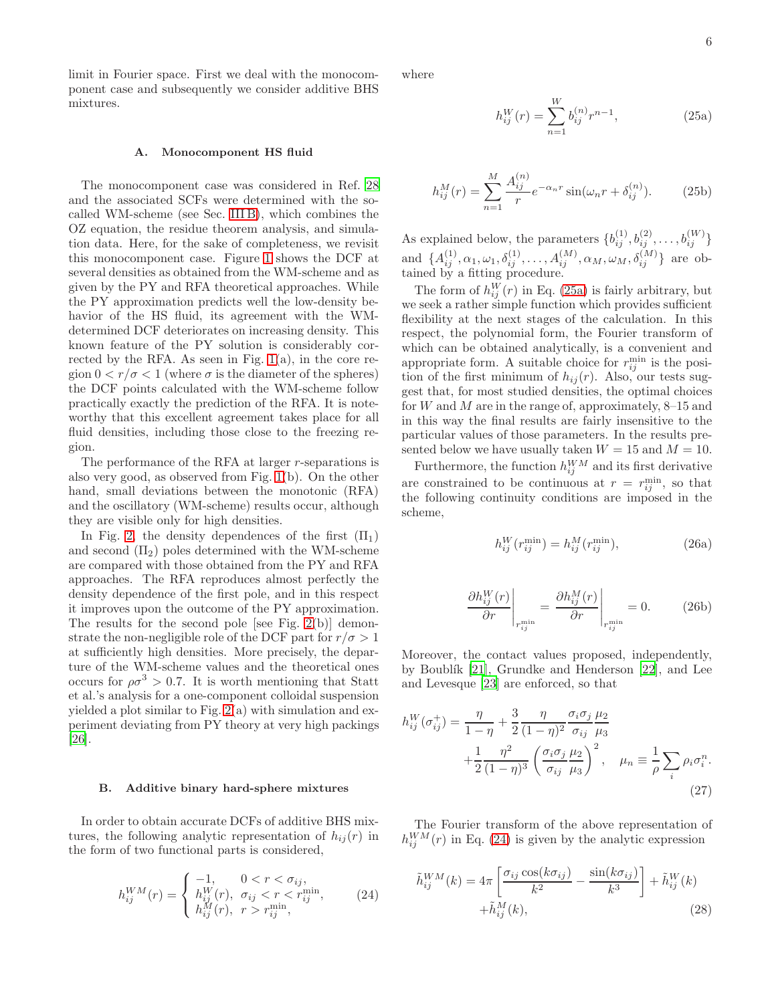limit in Fourier space. First we deal with the monocomponent case and subsequently we consider additive BHS mixtures.

#### <span id="page-5-0"></span>A. Monocomponent HS fluid

The monocomponent case was considered in Ref. [28](#page-11-9) and the associated SCFs were determined with the socalled WM-scheme (see Sec. [III B\)](#page-5-1), which combines the OZ equation, the residue theorem analysis, and simulation data. Here, for the sake of completeness, we revisit this monocomponent case. Figure [1](#page-4-1) shows the DCF at several densities as obtained from the WM-scheme and as given by the PY and RFA theoretical approaches. While the PY approximation predicts well the low-density behavior of the HS fluid, its agreement with the WMdetermined DCF deteriorates on increasing density. This known feature of the PY solution is considerably corrected by the RFA. As seen in Fig.  $1(a)$ , in the core region  $0 < r/\sigma < 1$  (where  $\sigma$  is the diameter of the spheres) the DCF points calculated with the WM-scheme follow practically exactly the prediction of the RFA. It is noteworthy that this excellent agreement takes place for all fluid densities, including those close to the freezing region.

The performance of the RFA at larger r-separations is also very good, as observed from Fig. [1\(](#page-4-1)b). On the other hand, small deviations between the monotonic (RFA) and the oscillatory (WM-scheme) results occur, although they are visible only for high densities.

In Fig. [2,](#page-4-2) the density dependences of the first  $(\Pi_1)$ and second  $(\Pi_2)$  poles determined with the WM-scheme are compared with those obtained from the PY and RFA approaches. The RFA reproduces almost perfectly the density dependence of the first pole, and in this respect it improves upon the outcome of the PY approximation. The results for the second pole [see Fig. [2\(](#page-4-2)b)] demonstrate the non-negligible role of the DCF part for  $r/\sigma > 1$ at sufficiently high densities. More precisely, the departure of the WM-scheme values and the theoretical ones occurs for  $\rho \sigma^3 > 0.7$ . It is worth mentioning that Statt et al.'s analysis for a one-component colloidal suspension yielded a plot similar to Fig. [2\(](#page-4-2)a) with simulation and experiment deviating from PY theory at very high packings [\[26\]](#page-11-7).

#### <span id="page-5-1"></span>B. Additive binary hard-sphere mixtures

In order to obtain accurate DCFs of additive BHS mixtures, the following analytic representation of  $h_{ij}(r)$  in the form of two functional parts is considered,

<span id="page-5-3"></span>
$$
h_{ij}^{WM}(r) = \begin{cases} -1, & 0 < r < \sigma_{ij}, \\ h_{ij}^{W}(r), & \sigma_{ij} < r < r_{ij}^{\min}, \\ h_{ij}^{M}(r), & r > r_{ij}^{\min}, \end{cases} \tag{24}
$$

<span id="page-5-5"></span>where

<span id="page-5-2"></span>
$$
h_{ij}^{W}(r) = \sum_{n=1}^{W} b_{ij}^{(n)} r^{n-1},
$$
\n(25a)

$$
h_{ij}^{M}(r) = \sum_{n=1}^{M} \frac{A_{ij}^{(n)}}{r} e^{-\alpha_n r} \sin(\omega_n r + \delta_{ij}^{(n)}).
$$
 (25b)

As explained below, the parameters  $\{b_{ij}^{(1)}, b_{ij}^{(2)}, \ldots, b_{ij}^{(W)}\}$ and  $\{A_{ij}^{(1)}, \alpha_1, \omega_1, \delta_{ij}^{(1)}, \ldots, A_{ij}^{(M)}, \alpha_M, \omega_M, \delta_{ij}^{(M)}\}\$ are obtained by a fitting procedure.

The form of  $h_{ij}^W(r)$  in Eq. [\(25a\)](#page-5-2) is fairly arbitrary, but we seek a rather simple function which provides sufficient flexibility at the next stages of the calculation. In this respect, the polynomial form, the Fourier transform of which can be obtained analytically, is a convenient and appropriate form. A suitable choice for  $r_{ij}^{\min}$  is the position of the first minimum of  $h_{ij}(r)$ . Also, our tests suggest that, for most studied densities, the optimal choices for W and M are in the range of, approximately,  $8-15$  and in this way the final results are fairly insensitive to the particular values of those parameters. In the results presented below we have usually taken  $W = 15$  and  $M = 10$ .

Furthermore, the function  $h_{ij}^{WM}$  and its first derivative are constrained to be continuous at  $r = r_{ij}^{\text{min}}$ , so that the following continuity conditions are imposed in the scheme,

$$
h_{ij}^{W}(r_{ij}^{\min}) = h_{ij}^{M}(r_{ij}^{\min}),
$$
\n(26a)

$$
\left. \frac{\partial h_{ij}^W(r)}{\partial r} \right|_{r_{ij}^{\min}} = \left. \frac{\partial h_{ij}^M(r)}{\partial r} \right|_{r_{ij}^{\min}} = 0. \quad (26b)
$$

Moreover, the contact values proposed, independently, by Boublík  $[21]$ , Grundke and Henderson  $[22]$ , and Lee and Levesque [\[23\]](#page-11-4) are enforced, so that

$$
h_{ij}^W(\sigma_{ij}^+) = \frac{\eta}{1-\eta} + \frac{3}{2} \frac{\eta}{(1-\eta)^2} \frac{\sigma_i \sigma_j}{\sigma_{ij}} \frac{\mu_2}{\mu_3}
$$
  
 
$$
+ \frac{1}{2} \frac{\eta^2}{(1-\eta)^3} \left(\frac{\sigma_i \sigma_j}{\sigma_{ij}} \frac{\mu_2}{\mu_3}\right)^2, \quad \mu_n \equiv \frac{1}{\rho} \sum_i \rho_i \sigma_i^n.
$$
(27)

The Fourier transform of the above representation of  $h_{ij}^{WM}(r)$  in Eq. [\(24\)](#page-5-3) is given by the analytic expression

<span id="page-5-4"></span>
$$
\tilde{h}_{ij}^{WM}(k) = 4\pi \left[ \frac{\sigma_{ij} \cos(k\sigma_{ij})}{k^2} - \frac{\sin(k\sigma_{ij})}{k^3} \right] + \tilde{h}_{ij}^{W}(k) \n+ \tilde{h}_{ij}^{M}(k),
$$
\n(28)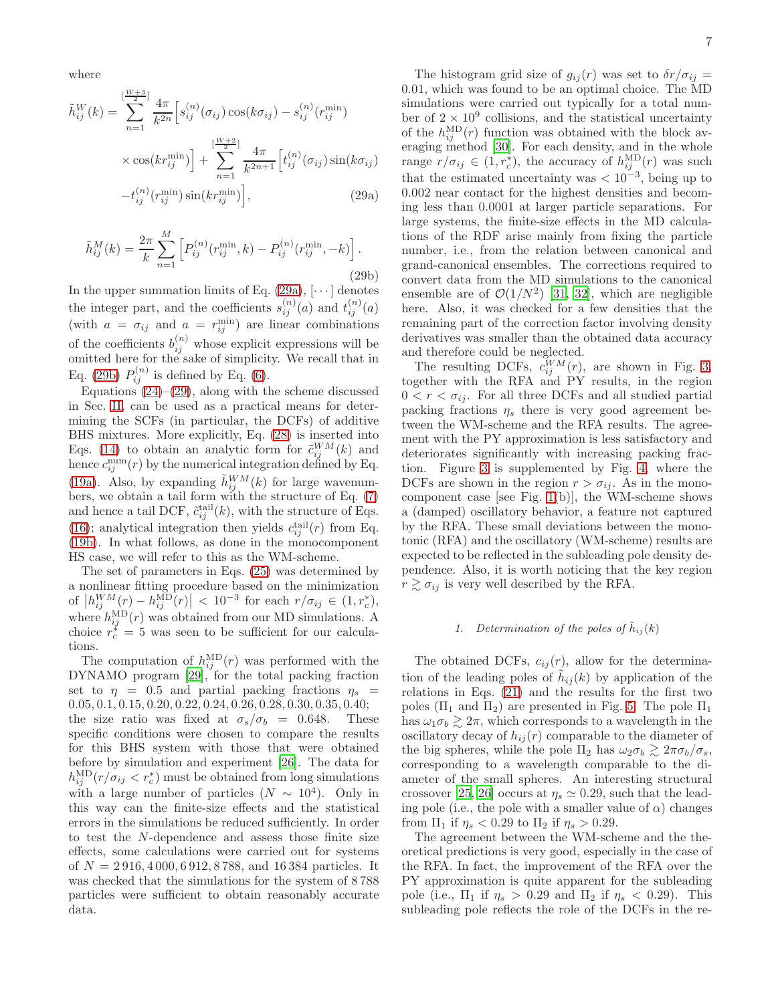<span id="page-6-2"></span>where

<span id="page-6-0"></span>
$$
\tilde{h}_{ij}^{W}(k) = \sum_{n=1}^{\left[\frac{W+3}{2}\right]} \frac{4\pi}{k^{2n}} \left[ s_{ij}^{(n)}(\sigma_{ij}) \cos(k\sigma_{ij}) - s_{ij}^{(n)}(r_{ij}^{\min}) \right] \times \cos(kr_{ij}^{\min}) + \sum_{n=1}^{\left[\frac{W+2}{2}\right]} \frac{4\pi}{k^{2n+1}} \left[ t_{ij}^{(n)}(\sigma_{ij}) \sin(k\sigma_{ij}) - t_{ij}^{(n)}(r_{ij}^{\min}) \sin(kr_{ij}^{\min}) \right],
$$
\n(29a)

<span id="page-6-1"></span>
$$
\tilde{h}_{ij}^{M}(k) = \frac{2\pi}{k} \sum_{n=1}^{M} \left[ P_{ij}^{(n)}(r_{ij}^{\min}, k) - P_{ij}^{(n)}(r_{ij}^{\min}, -k) \right].
$$
\n(29b)

In the upper summation limits of Eq.  $(29a)$ ,  $[\cdots]$  denotes the integer part, and the coefficients  $s_{ij}^{(n)}(a)$  and  $t_{ij}^{(n)}(a)$ (with  $a = \sigma_{ij}$  and  $a = r^{\min}_{ij}$ ) are linear combinations of the coefficients  $b_{ij}^{(n)}$  whose explicit expressions will be omitted here for the sake of simplicity. We recall that in Eq. [\(29b\)](#page-6-1)  $P_{ij}^{(n)}$  is defined by Eq. [\(6\)](#page-2-5).

Equations  $(24)$ – $(29)$ , along with the scheme discussed in Sec. [II,](#page-1-0) can be used as a practical means for determining the SCFs (in particular, the DCFs) of additive BHS mixtures. More explicitly, Eq. [\(28\)](#page-5-4) is inserted into Eqs. [\(14\)](#page-2-2) to obtain an analytic form for  $\tilde{c}_{ij}^{WM}(k)$  and hence  $c_{ij}^{\text{num}}(r)$  by the numerical integration defined by Eq. [\(19a\)](#page-3-0). Also, by expanding  $\tilde{h}_{ij}^{WM}(k)$  for large wavenumbers, we obtain a tail form with the structure of Eq. [\(7\)](#page-2-1) and hence a tail DCF,  $\tilde{c}_{ij}^{\text{tail}}(k)$ , with the structure of Eqs. [\(16\)](#page-3-4); analytical integration then yields  $c_{ij}^{\text{tail}}(r)$  from Eq. [\(19b\)](#page-3-1). In what follows, as done in the monocomponent HS case, we will refer to this as the WM-scheme.

The set of parameters in Eqs. [\(25\)](#page-5-5) was determined by a nonlinear fitting procedure based on the minimization of  $|h_{ij}^{WM}(r) - h_{ij}^{MD}(r)| < 10^{-3}$  for each  $r/\sigma_{ij} \in (1, r_c^*)$ , where  $h_{ij}^{\text{MD}}(r)$  was obtained from our MD simulations. A choice  $r_c^* = 5$  was seen to be sufficient for our calculations.

The computation of  $h_{ij}^{\text{MD}}(r)$  was performed with the DYNAMO program [\[29\]](#page-11-11), for the total packing fraction set to  $\eta = 0.5$  and partial packing fractions  $\eta_s$ 0.05, 0.1, 0.15, 0.20, 0.22, 0.24, 0.26, 0.28, 0.30, 0.35, 0.40; the size ratio was fixed at  $\sigma_s/\sigma_b = 0.648$ . These specific conditions were chosen to compare the results for this BHS system with those that were obtained before by simulation and experiment [\[26](#page-11-7)]. The data for  $h_{ij}^{\text{MD}}(r/\sigma_{ij} < r_c^*)$  must be obtained from long simulations with a large number of particles  $(N \sim 10^4)$ . Only in this way can the finite-size effects and the statistical errors in the simulations be reduced sufficiently. In order to test the N-dependence and assess those finite size effects, some calculations were carried out for systems of  $N = 2916, 4000, 6912, 8788,$  and 16384 particles. It was checked that the simulations for the system of 8 788 particles were sufficient to obtain reasonably accurate data.

The histogram grid size of  $g_{ij}(r)$  was set to  $\delta r / \sigma_{ij} =$ 0.01, which was found to be an optimal choice. The MD simulations were carried out typically for a total number of  $2 \times 10^9$  collisions, and the statistical uncertainty of the  $h_{ij}^{\text{MD}}(r)$  function was obtained with the block averaging method [\[30](#page-11-12)]. For each density, and in the whole range  $r/\sigma_{ij} \in (1, r_c^*)$ , the accuracy of  $h_{ij}^{\text{MD}}(r)$  was such that the estimated uncertainty was  $< 10^{-3}$ , being up to 0.002 near contact for the highest densities and becoming less than 0.0001 at larger particle separations. For large systems, the finite-size effects in the MD calculations of the RDF arise mainly from fixing the particle number, i.e., from the relation between canonical and grand-canonical ensembles. The corrections required to convert data from the MD simulations to the canonical ensemble are of  $\mathcal{O}(1/N^2)$  [\[31,](#page-11-13) [32\]](#page-11-14), which are negligible here. Also, it was checked for a few densities that the remaining part of the correction factor involving density derivatives was smaller than the obtained data accuracy and therefore could be neglected.

The resulting DCFs,  $c_{ij}^{WM}(r)$ , are shown in Fig. [3,](#page-7-1) together with the RFA and PY results, in the region  $0 < r < \sigma_{ij}$ . For all three DCFs and all studied partial packing fractions  $\eta_s$  there is very good agreement between the WM-scheme and the RFA results. The agreement with the PY approximation is less satisfactory and deteriorates significantly with increasing packing fraction. Figure [3](#page-7-1) is supplemented by Fig. [4,](#page-7-2) where the DCFs are shown in the region  $r > \sigma_{ij}$ . As in the monocomponent case [see Fig. [1\(](#page-4-1)b)], the WM-scheme shows a (damped) oscillatory behavior, a feature not captured by the RFA. These small deviations between the monotonic (RFA) and the oscillatory (WM-scheme) results are expected to be reflected in the subleading pole density dependence. Also, it is worth noticing that the key region  $r \gtrsim \sigma_{ij}$  is very well described by the RFA.

## 1. Determination of the poles of  $\tilde{h}_{ij}(k)$

The obtained DCFs,  $c_{ij}(r)$ , allow for the determination of the leading poles of  $\tilde{h}_{ij}(k)$  by application of the relations in Eqs. [\(21\)](#page-3-3) and the results for the first two poles  $(\Pi_1 \text{ and } \Pi_2)$  are presented in Fig. [5.](#page-8-0) The pole  $\Pi_1$ has  $\omega_1 \sigma_b \gtrsim 2\pi$ , which corresponds to a wavelength in the oscillatory decay of  $h_{ij}(r)$  comparable to the diameter of the big spheres, while the pole  $\Pi_2$  has  $\omega_2 \sigma_b \gtrsim 2\pi \sigma_b/\sigma_s$ , corresponding to a wavelength comparable to the diameter of the small spheres. An interesting structural crossover [\[25,](#page-11-6) [26\]](#page-11-7) occurs at  $\eta_s \simeq 0.29$ , such that the leading pole (i.e., the pole with a smaller value of  $\alpha$ ) changes from  $\Pi_1$  if  $\eta_s < 0.29$  to  $\Pi_2$  if  $\eta_s > 0.29$ .

The agreement between the WM-scheme and the theoretical predictions is very good, especially in the case of the RFA. In fact, the improvement of the RFA over the PY approximation is quite apparent for the subleading pole (i.e.,  $\Pi_1$  if  $\eta_s > 0.29$  and  $\Pi_2$  if  $\eta_s < 0.29$ ). This subleading pole reflects the role of the DCFs in the re-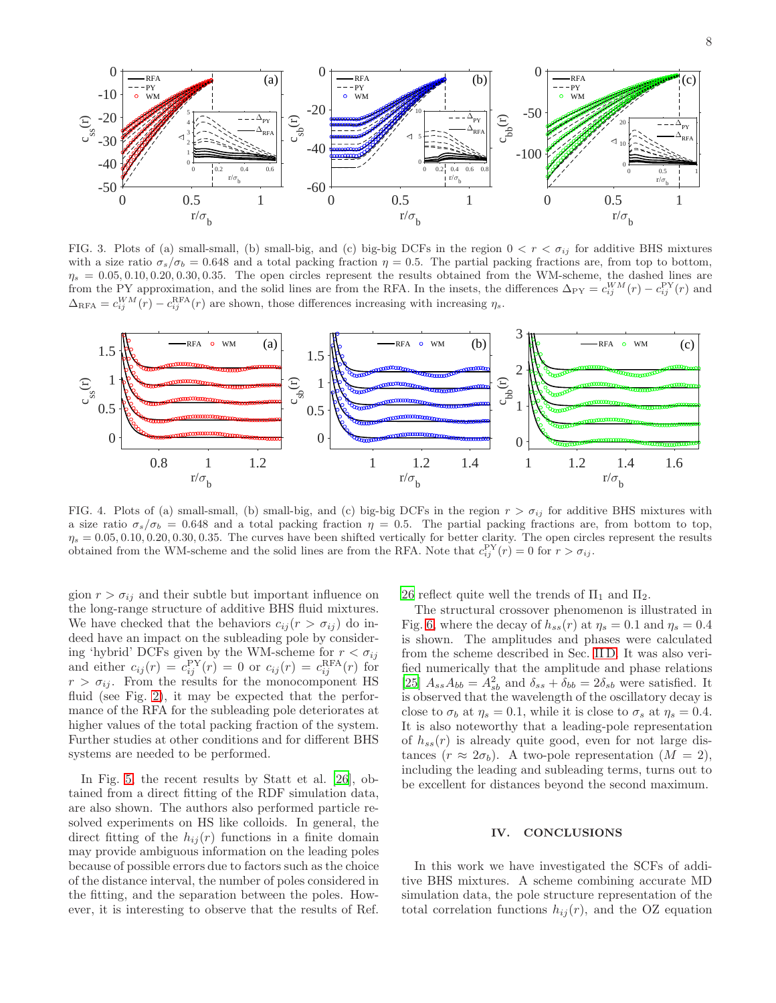8



<span id="page-7-1"></span>FIG. 3. Plots of (a) small-small, (b) small-big, and (c) big-big DCFs in the region  $0 < r < \sigma_{ij}$  for additive BHS mixtures with a size ratio  $\sigma_s/\sigma_b = 0.648$  and a total packing fraction  $\eta = 0.5$ . The partial packing fractions are, from top to bottom,  $\eta_s = 0.05, 0.10, 0.20, 0.30, 0.35$ . The open circles represent the results obtained from the WM-scheme, the dashed lines are from the PY approximation, and the solid lines are from the RFA. In the insets, the differences  $\Delta_{PY} = c_{ij}^{WM}(r) - c_{ij}^{PY}(r)$  and  $\Delta_{\text{RFA}} = c_{ij}^{WM}(r) - c_{ij}^{\text{RFA}}(r)$  are shown, those differences increasing with increasing  $\eta_s$ .



<span id="page-7-2"></span>FIG. 4. Plots of (a) small-small, (b) small-big, and (c) big-big DCFs in the region  $r > \sigma_{ij}$  for additive BHS mixtures with a size ratio  $\sigma_s/\sigma_b = 0.648$  and a total packing fraction  $\eta = 0.5$ . The partial packing fractions are, from bottom to top,  $\eta_s = 0.05, 0.10, 0.20, 0.30, 0.35$ . The curves have been shifted vertically for better clarity. The open circles represent the results obtained from the WM-scheme and the solid lines are from the RFA. Note that  $c_{ij}^{\text{PY}}(r) = 0$  for  $r > \sigma_{ij}$ .

gion  $r > \sigma_{ij}$  and their subtle but important influence on the long-range structure of additive BHS fluid mixtures. We have checked that the behaviors  $c_{ij}(r > \sigma_{ij})$  do indeed have an impact on the subleading pole by considering 'hybrid' DCFs given by the WM-scheme for  $r < \sigma_{ij}$ and either  $c_{ij}(r) = c_{ij}^{\text{PY}}(r) = 0$  or  $c_{ij}(r) = c_{ij}^{\text{RFA}}(r)$  for  $r > \sigma_{ij}$ . From the results for the monocomponent HS fluid (see Fig. [2\)](#page-4-2), it may be expected that the performance of the RFA for the subleading pole deteriorates at higher values of the total packing fraction of the system. Further studies at other conditions and for different BHS systems are needed to be performed.

In Fig. [5,](#page-8-0) the recent results by Statt et al. [\[26](#page-11-7)], obtained from a direct fitting of the RDF simulation data, are also shown. The authors also performed particle resolved experiments on HS like colloids. In general, the direct fitting of the  $h_{ij}(r)$  functions in a finite domain may provide ambiguous information on the leading poles because of possible errors due to factors such as the choice of the distance interval, the number of poles considered in the fitting, and the separation between the poles. However, it is interesting to observe that the results of Ref.

[26](#page-11-7) reflect quite well the trends of  $\Pi_1$  and  $\Pi_2$ .

The structural crossover phenomenon is illustrated in Fig. [6,](#page-8-1) where the decay of  $h_{ss}(r)$  at  $\eta_s = 0.1$  and  $\eta_s = 0.4$ is shown. The amplitudes and phases were calculated from the scheme described in Sec. [II D.](#page-4-3) It was also verified numerically that the amplitude and phase relations [\[25\]](#page-11-6)  $A_{ss}A_{bb} = A_{sb}^2$  and  $\delta_{ss} + \delta_{bb} = 2\delta_{sb}$  were satisfied. It is observed that the wavelength of the oscillatory decay is close to  $\sigma_b$  at  $\eta_s = 0.1$ , while it is close to  $\sigma_s$  at  $\eta_s = 0.4$ . It is also noteworthy that a leading-pole representation of  $h_{ss}(r)$  is already quite good, even for not large distances  $(r \approx 2\sigma_b)$ . A two-pole representation  $(M = 2)$ , including the leading and subleading terms, turns out to be excellent for distances beyond the second maximum.

#### <span id="page-7-0"></span>IV. CONCLUSIONS

In this work we have investigated the SCFs of additive BHS mixtures. A scheme combining accurate MD simulation data, the pole structure representation of the total correlation functions  $h_{ij}(r)$ , and the OZ equation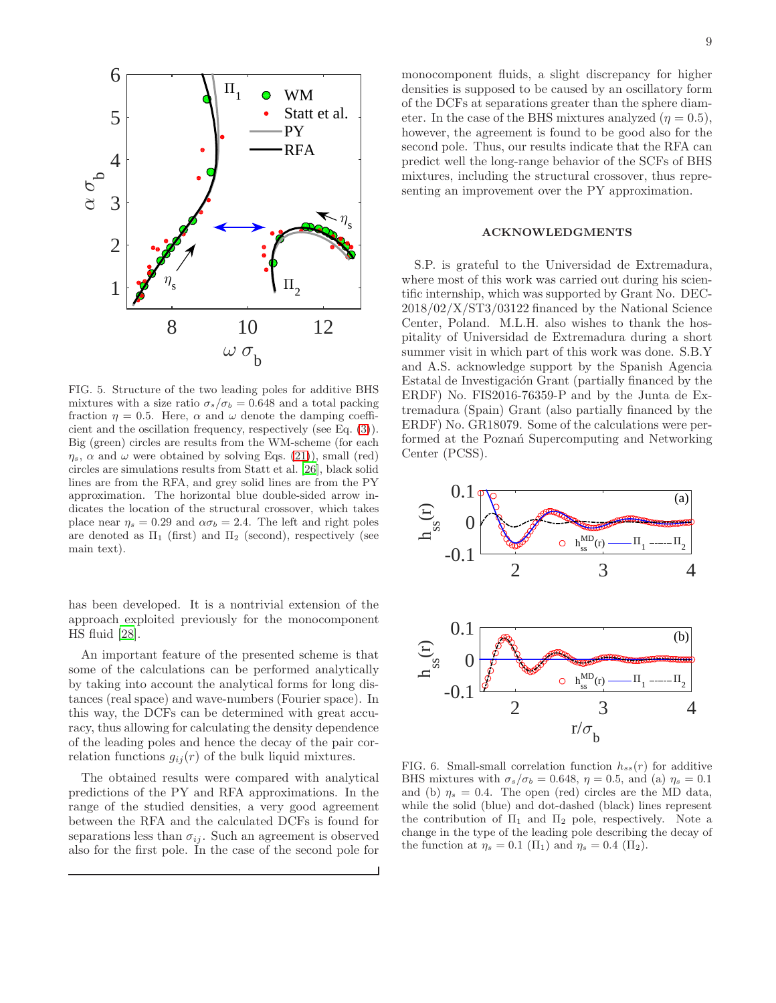

<span id="page-8-0"></span>FIG. 5. Structure of the two leading poles for additive BHS mixtures with a size ratio  $\sigma_s/\sigma_b = 0.648$  and a total packing fraction  $\eta = 0.5$ . Here,  $\alpha$  and  $\omega$  denote the damping coefficient and the oscillation frequency, respectively (see Eq. [\(3\)](#page-1-2)). Big (green) circles are results from the WM-scheme (for each  $\eta_s$ ,  $\alpha$  and  $\omega$  were obtained by solving Eqs. [\(21\)](#page-3-3)), small (red) circles are simulations results from Statt et al. [\[26](#page-11-7)], black solid lines are from the RFA, and grey solid lines are from the PY approximation. The horizontal blue double-sided arrow indicates the location of the structural crossover, which takes place near  $\eta_s = 0.29$  and  $\alpha \sigma_b = 2.4$ . The left and right poles are denoted as  $\Pi_1$  (first) and  $\Pi_2$  (second), respectively (see main text).

has been developed. It is a nontrivial extension of the approach exploited previously for the monocomponent HS fluid [\[28\]](#page-11-9).

An important feature of the presented scheme is that some of the calculations can be performed analytically by taking into account the analytical forms for long distances (real space) and wave-numbers (Fourier space). In this way, the DCFs can be determined with great accuracy, thus allowing for calculating the density dependence of the leading poles and hence the decay of the pair correlation functions  $g_{ij}(r)$  of the bulk liquid mixtures.

The obtained results were compared with analytical predictions of the PY and RFA approximations. In the range of the studied densities, a very good agreement between the RFA and the calculated DCFs is found for separations less than  $\sigma_{ij}$ . Such an agreement is observed also for the first pole. In the case of the second pole for

monocomponent fluids, a slight discrepancy for higher densities is supposed to be caused by an oscillatory form of the DCFs at separations greater than the sphere diameter. In the case of the BHS mixtures analyzed  $(\eta = 0.5)$ , however, the agreement is found to be good also for the second pole. Thus, our results indicate that the RFA can predict well the long-range behavior of the SCFs of BHS mixtures, including the structural crossover, thus representing an improvement over the PY approximation.

#### ACKNOWLEDGMENTS

S.P. is grateful to the Universidad de Extremadura, where most of this work was carried out during his scientific internship, which was supported by Grant No. DEC-2018/02/X/ST3/03122 financed by the National Science Center, Poland. M.L.H. also wishes to thank the hospitality of Universidad de Extremadura during a short summer visit in which part of this work was done. S.B.Y and A.S. acknowledge support by the Spanish Agencia Estatal de Investigación Grant (partially financed by the ERDF) No. FIS2016-76359-P and by the Junta de Extremadura (Spain) Grant (also partially financed by the ERDF) No. GR18079. Some of the calculations were performed at the Poznań Supercomputing and Networking Center (PCSS).



<span id="page-8-1"></span>FIG. 6. Small-small correlation function  $h_{ss}(r)$  for additive BHS mixtures with  $\sigma_s/\sigma_b = 0.648$ ,  $\eta = 0.5$ , and (a)  $\eta_s = 0.1$ and (b)  $\eta_s = 0.4$ . The open (red) circles are the MD data, while the solid (blue) and dot-dashed (black) lines represent the contribution of  $\Pi_1$  and  $\Pi_2$  pole, respectively. Note a change in the type of the leading pole describing the decay of the function at  $\eta_s = 0.1 \ (\Pi_1)$  and  $\eta_s = 0.4 \ (\Pi_2)$ .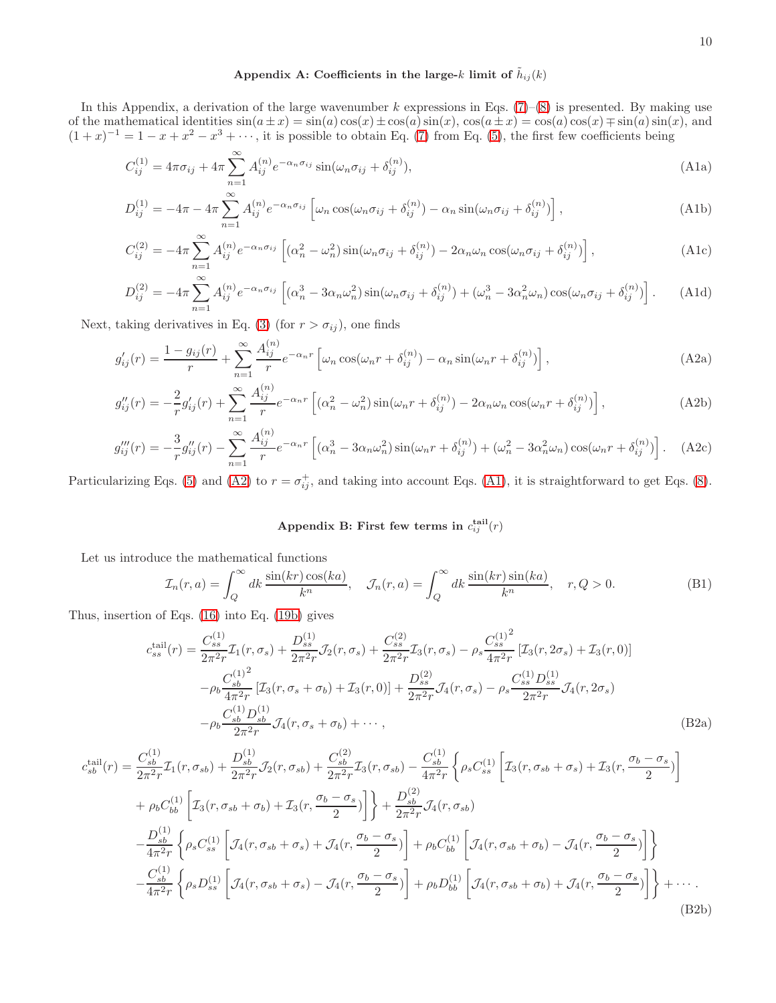# <span id="page-9-3"></span><span id="page-9-0"></span>Appendix A: Coefficients in the large-k limit of  $\tilde{h}_{ij}(k)$

In this Appendix, a derivation of the large wavenumber k expressions in Eqs.  $(7)-(8)$  $(7)-(8)$  is presented. By making use of the mathematical identities  $sin(a \pm x) = sin(a) cos(x) \pm cos(a) sin(x)$ ,  $cos(a \pm x) = cos(a) cos(x) \mp sin(a) sin(x)$ , and  $(1+x)^{-1} = 1 - x + x^2 - x^3 + \cdots$ , it is possible to obtain Eq. [\(7\)](#page-2-1) from Eq. [\(5\)](#page-1-1), the first few coefficients being

$$
C_{ij}^{(1)} = 4\pi\sigma_{ij} + 4\pi \sum_{n=1}^{\infty} A_{ij}^{(n)} e^{-\alpha_n \sigma_{ij}} \sin(\omega_n \sigma_{ij} + \delta_{ij}^{(n)}), \tag{A1a}
$$

$$
D_{ij}^{(1)} = -4\pi - 4\pi \sum_{n=1}^{\infty} A_{ij}^{(n)} e^{-\alpha_n \sigma_{ij}} \left[ \omega_n \cos(\omega_n \sigma_{ij} + \delta_{ij}^{(n)}) - \alpha_n \sin(\omega_n \sigma_{ij} + \delta_{ij}^{(n)}) \right], \tag{A1b}
$$

$$
C_{ij}^{(2)} = -4\pi \sum_{n=1}^{\infty} A_{ij}^{(n)} e^{-\alpha_n \sigma_{ij}} \left[ (\alpha_n^2 - \omega_n^2) \sin(\omega_n \sigma_{ij} + \delta_{ij}^{(n)}) - 2\alpha_n \omega_n \cos(\omega_n \sigma_{ij} + \delta_{ij}^{(n)}) \right],
$$
(A1c)

$$
D_{ij}^{(2)} = -4\pi \sum_{n=1}^{\infty} A_{ij}^{(n)} e^{-\alpha_n \sigma_{ij}} \left[ (\alpha_n^3 - 3\alpha_n \omega_n^2) \sin(\omega_n \sigma_{ij} + \delta_{ij}^{(n)}) + (\omega_n^3 - 3\alpha_n^2 \omega_n) \cos(\omega_n \sigma_{ij} + \delta_{ij}^{(n)}) \right].
$$
 (A1d)

Next, taking derivatives in Eq. [\(3\)](#page-1-2) (for  $r > \sigma_{ij}$ ), one finds

$$
g'_{ij}(r) = \frac{1 - g_{ij}(r)}{r} + \sum_{n=1}^{\infty} \frac{A_{ij}^{(n)}}{r} e^{-\alpha_n r} \left[ \omega_n \cos(\omega_n r + \delta_{ij}^{(n)}) - \alpha_n \sin(\omega_n r + \delta_{ij}^{(n)}) \right],
$$
\n(A2a)

$$
g_{ij}''(r) = -\frac{2}{r}g_{ij}'(r) + \sum_{n=1}^{\infty} \frac{A_{ij}^{(n)}}{r} e^{-\alpha_n r} \left[ (\alpha_n^2 - \omega_n^2) \sin(\omega_n r + \delta_{ij}^{(n)}) - 2\alpha_n \omega_n \cos(\omega_n r + \delta_{ij}^{(n)}) \right],\tag{A2b}
$$

$$
g_{ij}'''(r) = -\frac{3}{r}g_{ij}''(r) - \sum_{n=1}^{\infty} \frac{A_{ij}^{(n)}}{r} e^{-\alpha_n r} \left[ (\alpha_n^3 - 3\alpha_n \omega_n^2) \sin(\omega_n r + \delta_{ij}^{(n)}) + (\omega_n^2 - 3\alpha_n^2 \omega_n) \cos(\omega_n r + \delta_{ij}^{(n)}) \right].
$$
 (A2c)

Particularizing Eqs. [\(5\)](#page-1-1) and [\(A2\)](#page-9-2) to  $r = \sigma_{ij}^+$ , and taking into account Eqs. [\(A1\)](#page-9-3), it is straightforward to get Eqs. [\(8\)](#page-2-3).

# <span id="page-9-4"></span><span id="page-9-2"></span><span id="page-9-1"></span>Appendix B: First few terms in  $c_{ij}^{\text{tail}}(r)$

Let us introduce the mathematical functions

$$
\mathcal{I}_n(r,a) = \int_Q^{\infty} dk \, \frac{\sin(kr)\cos(ka)}{k^n}, \quad \mathcal{J}_n(r,a) = \int_Q^{\infty} dk \, \frac{\sin(kr)\sin(ka)}{k^n}, \quad r, Q > 0. \tag{B1}
$$

Thus, insertion of Eqs. [\(16\)](#page-3-4) into Eq. [\(19b\)](#page-3-1) gives

$$
c_{ss}^{\text{tail}}(r) = \frac{C_{ss}^{(1)}}{2\pi^2 r} \mathcal{I}_1(r, \sigma_s) + \frac{D_{ss}^{(1)}}{2\pi^2 r} \mathcal{J}_2(r, \sigma_s) + \frac{C_{ss}^{(2)}}{2\pi^2 r} \mathcal{I}_3(r, \sigma_s) - \rho_s \frac{C_{ss}^{(1)^2}}{4\pi^2 r} \left[ \mathcal{I}_3(r, 2\sigma_s) + \mathcal{I}_3(r, 0) \right]
$$

$$
-\rho_b \frac{C_{sb}^{(1)^2}}{4\pi^2 r} \left[ \mathcal{I}_3(r, \sigma_s + \sigma_b) + \mathcal{I}_3(r, 0) \right] + \frac{D_{ss}^{(2)}}{2\pi^2 r} \mathcal{J}_4(r, \sigma_s) - \rho_s \frac{C_{ss}^{(1)} D_{ss}^{(1)}}{2\pi^2 r} \mathcal{J}_4(r, 2\sigma_s)
$$

$$
-\rho_b \frac{C_{sb}^{(1)} D_{sb}^{(1)}}{2\pi^2 r} \mathcal{J}_4(r, \sigma_s + \sigma_b) + \cdots,
$$
(B2a)

$$
c_{sb}^{\text{tail}}(r) = \frac{C_{sb}^{(1)}}{2\pi^{2}r} \mathcal{I}_{1}(r, \sigma_{sb}) + \frac{D_{sb}^{(1)}}{2\pi^{2}r} \mathcal{J}_{2}(r, \sigma_{sb}) + \frac{C_{sb}^{(2)}}{2\pi^{2}r} \mathcal{I}_{3}(r, \sigma_{sb}) - \frac{C_{sb}^{(1)}}{4\pi^{2}r} \left\{ \rho_{s} C_{ss}^{(1)} \left[ \mathcal{I}_{3}(r, \sigma_{sb} + \sigma_{s}) + \mathcal{I}_{3}(r, \frac{\sigma_{b} - \sigma_{s}}{2}) \right] \right\} + \rho_{b} C_{bb}^{(1)} \left[ \mathcal{I}_{3}(r, \sigma_{sb} + \sigma_{b}) + \mathcal{I}_{3}(r, \frac{\sigma_{b} - \sigma_{s}}{2}) \right] \right\} + \frac{D_{sb}^{(2)}}{2\pi^{2}r} \mathcal{J}_{4}(r, \sigma_{sb})
$$
  

$$
- \frac{D_{sb}^{(1)}}{4\pi^{2}r} \left\{ \rho_{s} C_{ss}^{(1)} \left[ \mathcal{J}_{4}(r, \sigma_{sb} + \sigma_{s}) + \mathcal{J}_{4}(r, \frac{\sigma_{b} - \sigma_{s}}{2}) \right] + \rho_{b} C_{bb}^{(1)} \left[ \mathcal{J}_{4}(r, \sigma_{sb} + \sigma_{b}) - \mathcal{J}_{4}(r, \frac{\sigma_{b} - \sigma_{s}}{2}) \right] \right\}
$$
  

$$
- \frac{C_{sb}^{(1)}}{4\pi^{2}r} \left\{ \rho_{s} D_{ss}^{(1)} \left[ \mathcal{J}_{4}(r, \sigma_{sb} + \sigma_{s}) - \mathcal{J}_{4}(r, \frac{\sigma_{b} - \sigma_{s}}{2}) \right] + \rho_{b} D_{bb}^{(1)} \left[ \mathcal{J}_{4}(r, \sigma_{sb} + \sigma_{b}) + \mathcal{J}_{4}(r, \frac{\sigma_{b} - \sigma_{s}}{2}) \right] \right\} + \cdots
$$
  
(B2b)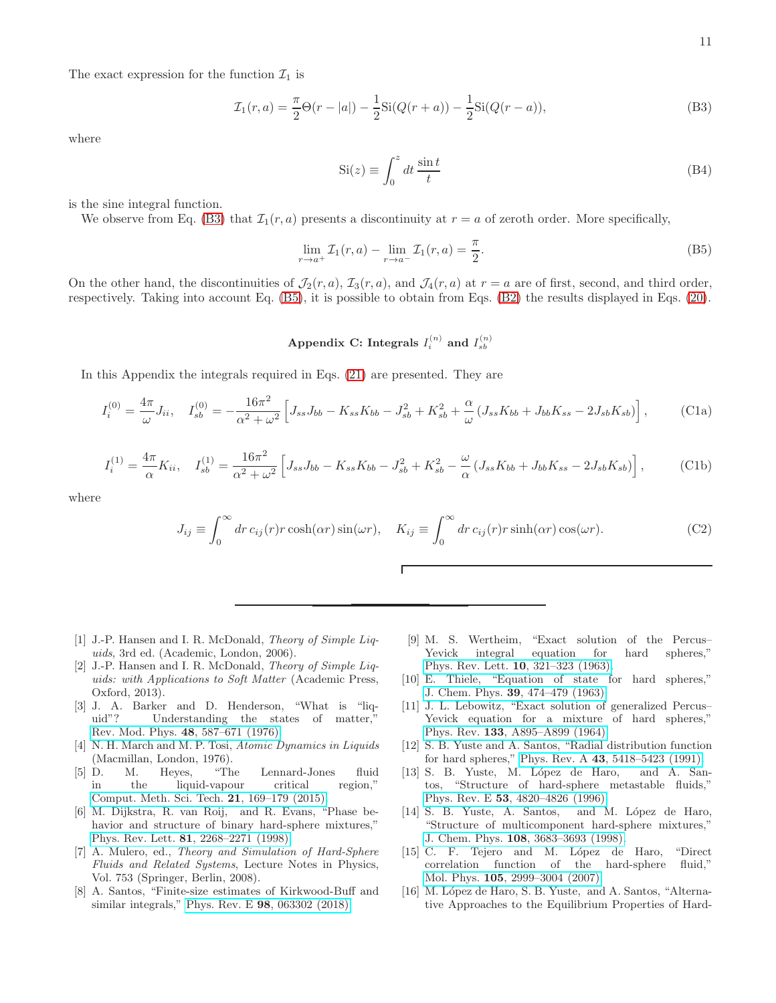The exact expression for the function  $\mathcal{I}_1$  is

<span id="page-10-13"></span>
$$
\mathcal{I}_1(r,a) = \frac{\pi}{2}\Theta(r-|a|) - \frac{1}{2}\mathrm{Si}(Q(r+a)) - \frac{1}{2}\mathrm{Si}(Q(r-a)),\tag{B3}
$$

where

$$
Si(z) \equiv \int_0^z dt \, \frac{\sin t}{t} \tag{B4}
$$

is the sine integral function.

We observe from Eq. [\(B3\)](#page-10-13) that  $\mathcal{I}_1(r, a)$  presents a discontinuity at  $r = a$  of zeroth order. More specifically,

<span id="page-10-14"></span>
$$
\lim_{r \to a^{+}} \mathcal{I}_{1}(r, a) - \lim_{r \to a^{-}} \mathcal{I}_{1}(r, a) = \frac{\pi}{2}.
$$
\n(B5)

On the other hand, the discontinuities of  $\mathcal{J}_2(r, a)$ ,  $\mathcal{I}_3(r, a)$ , and  $\mathcal{J}_4(r, a)$  at  $r = a$  are of first, second, and third order, respectively. Taking into account Eq. [\(B5\)](#page-10-14), it is possible to obtain from Eqs. [\(B2\)](#page-9-4) the results displayed in Eqs. [\(20\)](#page-3-2).

# <span id="page-10-12"></span>Appendix C: Integrals  $I_i^{(n)}$  and  $I_{sb}^{(n)}$

In this Appendix the integrals required in Eqs. [\(21\)](#page-3-3) are presented. They are

$$
I_i^{(0)} = \frac{4\pi}{\omega} J_{ii}, \quad I_{sb}^{(0)} = -\frac{16\pi^2}{\alpha^2 + \omega^2} \left[ J_{ss} J_{bb} - K_{ss} K_{bb} - J_{sb}^2 + K_{sb}^2 + \frac{\alpha}{\omega} \left( J_{ss} K_{bb} + J_{bb} K_{ss} - 2 J_{sb} K_{sb} \right) \right],
$$
 (C1a)

$$
I_i^{(1)} = \frac{4\pi}{\alpha} K_{ii}, \quad I_{sb}^{(1)} = \frac{16\pi^2}{\alpha^2 + \omega^2} \left[ J_{ss} J_{bb} - K_{ss} K_{bb} - J_{sb}^2 + K_{sb}^2 - \frac{\omega}{\alpha} (J_{ss} K_{bb} + J_{bb} K_{ss} - 2J_{sb} K_{sb}) \right],\tag{C1b}
$$

where

$$
J_{ij} \equiv \int_0^\infty dr \, c_{ij}(r) r \cosh(\alpha r) \sin(\omega r), \quad K_{ij} \equiv \int_0^\infty dr \, c_{ij}(r) r \sinh(\alpha r) \cos(\omega r). \tag{C2}
$$

- <span id="page-10-0"></span>[1] J.-P. Hansen and I. R. McDonald, *Theory of Simple Liquids*, 3rd ed. (Academic, London, 2006).
- <span id="page-10-11"></span>[2] J.-P. Hansen and I. R. McDonald, *Theory of Simple Liquids: with Applications to Soft Matter* (Academic Press, Oxford, 2013).
- <span id="page-10-1"></span>[3] J. A. Barker and D. Henderson, "What is "liquid"? Understanding the states of matter," [Rev. Mod. Phys.](http://dx.doi.org/ 10.1103/RevModPhys.48.587) 48, 587–671 (1976).
- <span id="page-10-2"></span>[4] N. H. March and M. P. Tosi, *Atomic Dynamics in Liquids* (Macmillan, London, 1976).
- <span id="page-10-3"></span>[5] D. M. Heyes, "The Lennard-Jones fluid in the liquid-vapour critical region," [Comput. Meth. Sci. Tech.](http://dx.doi.org/10.12921/cmst.2015.21.04.001) 21, 169–179 (2015).
- <span id="page-10-4"></span>[6] M. Dijkstra, R. van Roij, and R. Evans, "Phase behavior and structure of binary hard-sphere mixtures," Phys. Rev. Lett. 81[, 2268–2271 \(1998\).](http://dx.doi.org/ 10.1103/PhysRevLett.81.2268)
- <span id="page-10-5"></span>[7] A. Mulero, ed., *Theory and Simulation of Hard-Sphere Fluids and Related Systems*, Lecture Notes in Physics, Vol. 753 (Springer, Berlin, 2008).
- <span id="page-10-6"></span>[8] A. Santos, "Finite-size estimates of Kirkwood-Buff and similar integrals," Phys. Rev. E 98[, 063302 \(2018\).](http://dx.doi.org/ 10.1103/PhysRevE.98.063302)
- <span id="page-10-7"></span>[9] M. S. Wertheim, "Exact solution of the Percus– Yevick integral equation for hard spheres," Phys. Rev. Lett. 10[, 321–323 \(1963\).](http://dx.doi.org/10.1103/PhysRevLett.10.321.)
- <span id="page-10-8"></span>[10] E. Thiele, "Equation of state for hard spheres," J. Chem. Phys. 39[, 474–479 \(1963\).](http://dx.doi.org/10.1063/1.1734272)
- <span id="page-10-9"></span>[11] J. L. Lebowitz, "Exact solution of generalized Percus– Yevick equation for a mixture of hard spheres," Phys. Rev. 133[, A895–A899 \(1964\).](http://dx.doi.org/10.1103/PhysRev.133.A895)
- <span id="page-10-10"></span>[12] S. B. Yuste and A. Santos, "Radial distribution function for hard spheres," Phys. Rev. A 43[, 5418–5423 \(1991\).](http://dx.doi.org/10.1103/PhysRevA.43.5418)
- [13] S. B. Yuste, M. López de Haro, and A. Santos, "Structure of hard-sphere metastable fluids," Phys. Rev. E 53[, 4820–4826 \(1996\).](http://dx.doi.org/10.1103/PhysRevE.53.4820)
- [14] S. B. Yuste, A. Santos, and M. López de Haro, "Structure of multicomponent hard-sphere mixtures," J. Chem. Phys. 108[, 3683–3693 \(1998\).](http://dx.doi.org/10.1063/1.475762)
- [15] C. F. Tejero and M. López de Haro, "Direct" correlation function of the hard-sphere fluid," Mol. Phys. 105[, 2999–3004 \(2007\).](http://dx.doi.org/ 10.1080/00268970701725021)
- [16] M. López de Haro, S. B. Yuste, and A. Santos, "Alternative Approaches to the Equilibrium Properties of Hard-